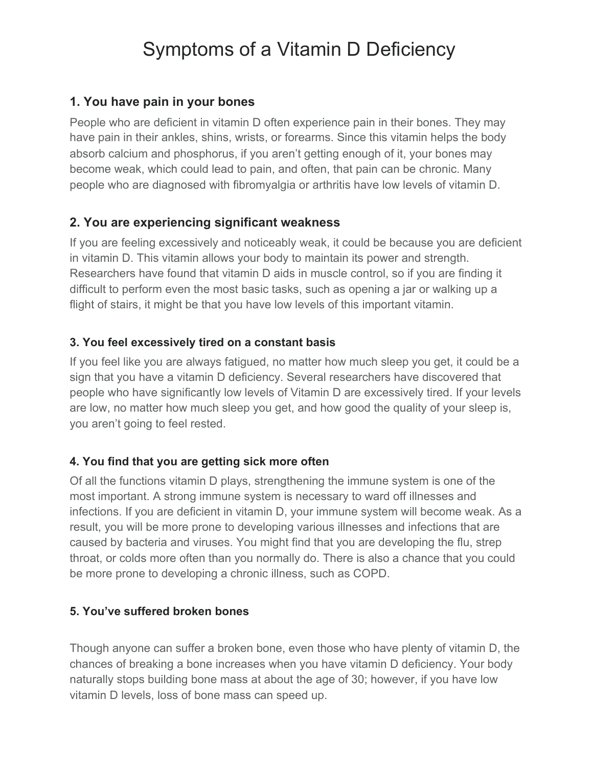# Symptoms of a Vitamin D Deficiency

#### **1. You have pain in your bones**

People who are deficient in vitamin D often experience pain in their bones. They may have pain in their ankles, shins, wrists, or forearms. Since this vitamin helps the body absorb calcium and phosphorus, if you aren't getting enough of it, your bones may become weak, which could lead to pain, and often, that pain can be chronic. Many people who are diagnosed with fibromyalgia or arthritis have low levels of vitamin D.

# **2. You are experiencing significant weakness**

If you are feeling excessively and noticeably weak, it could be because you are deficient in vitamin D. This vitamin allows your body to maintain its power and strength. Researchers have found that vitamin D aids in muscle control, so if you are finding it difficult to perform even the most basic tasks, such as opening a jar or walking up a flight of stairs, it might be that you have low levels of this important vitamin.

## **3. You feel excessively tired on a constant basis**

If you feel like you are always fatigued, no matter how much sleep you get, it could be a sign that you have a vitamin D deficiency. Several researchers have discovered that people who have significantly low levels of Vitamin D are excessively tired. If your levels are low, no matter how much sleep you get, and how good the quality of your sleep is, you aren't going to feel rested.

# **4. You find that you are getting sick more often**

Of all the functions vitamin D plays, strengthening the immune system is one of the most important. A strong immune system is necessary to ward off illnesses and infections. If you are deficient in vitamin D, your immune system will become weak. As a result, you will be more prone to developing various illnesses and infections that are caused by bacteria and viruses. You might find that you are developing the flu, strep throat, or colds more often than you normally do. There is also a chance that you could be more prone to developing a chronic illness, such as COPD.

#### **5. You've suffered broken bones**

Though anyone can suffer a broken bone, even those who have plenty of vitamin D, the chances of breaking a bone increases when you have vitamin D deficiency. Your body naturally stops building bone mass at about the age of 30; however, if you have low vitamin D levels, loss of bone mass can speed up.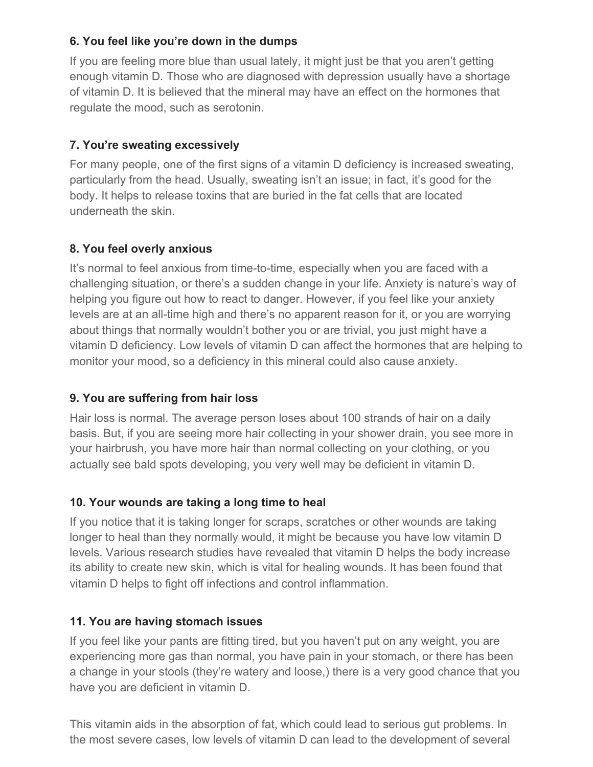# **6. You feel like you're down in the dumps**

If you are feeling more blue than usual lately, it might just be that you aren't getting enough vitamin D. Those who are diagnosed with depression usually have a shortage of vitamin D. It is believed that the mineral may have an effect on the hormones that regulate the mood, such as serotonin.

# **7. You're sweating excessively**

For many people, one of the first signs of a vitamin D deficiency is increased sweating, particularly from the head. Usually, sweating isn't an issue; in fact, it's good for the body. It helps to release toxins that are buried in the fat cells that are located underneath the skin.

# **8. You feel overly anxious**

It's normal to feel anxious from time-to-time, especially when you are faced with a challenging situation, or there's a sudden change in your life. Anxiety is nature's way of helping you figure out how to react to danger. However, if you feel like your anxiety levels are at an all-time high and there's no apparent reason for it, or you are worrying about things that normally wouldn't bother you or are trivial, you just might have a vitamin D deficiency. Low levels of vitamin D can affect the hormones that are helping to monitor your mood, so a deficiency in this mineral could also cause anxiety.

# **9. You are suffering from hair loss**

Hair loss is normal. The average person loses about 100 strands of hair on a daily basis. But, if you are seeing more hair collecting in your shower drain, you see more in your hairbrush, you have more hair than normal collecting on your clothing, or you actually see bald spots developing, you very well may be deficient in vitamin D.

# **10. Your wounds are taking a long time to heal**

If you notice that it is taking longer for scraps, scratches or other wounds are taking longer to heal than they normally would, it might be because you have low vitamin D levels. Various research studies have revealed that vitamin D helps the body increase its ability to create new skin, which is vital for healing wounds. It has been found that vitamin D helps to fight off infections and control inflammation.

# **11. You are having stomach issues**

If you feel like your pants are fitting tired, but you haven't put on any weight, you are experiencing more gas than normal, you have pain in your stomach, or there has been a change in your stools (they're watery and loose,) there is a very good chance that you have you are deficient in vitamin D.

This vitamin aids in the absorption of fat, which could lead to serious gut problems. In the most severe cases, low levels of vitamin D can lead to the development of several